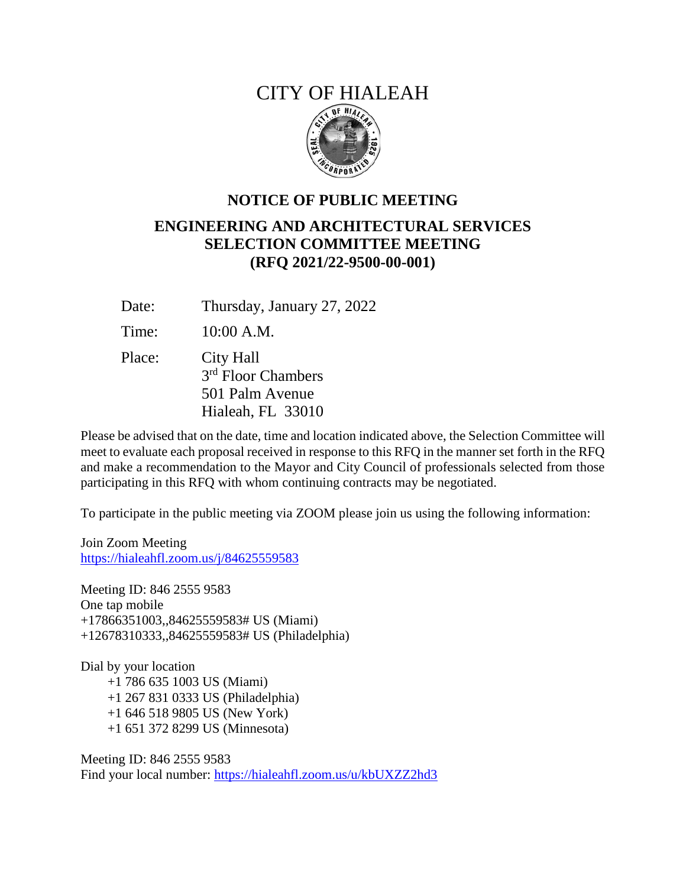## CITY OF HIALEAH



## **NOTICE OF PUBLIC MEETING ENGINEERING AND ARCHITECTURAL SERVICES SELECTION COMMITTEE MEETING (RFQ 2021/22-9500-00-001)**

Date: Thursday, January 27, 2022

Time: 10:00 A.M.

Place: City Hall 3<sup>rd</sup> Floor Chambers 501 Palm Avenue Hialeah, FL 33010

Please be advised that on the date, time and location indicated above, the Selection Committee will meet to evaluate each proposal received in response to this RFQ in the manner set forth in the RFQ and make a recommendation to the Mayor and City Council of professionals selected from those participating in this RFQ with whom continuing contracts may be negotiated.

To participate in the public meeting via ZOOM please join us using the following information:

Join Zoom Meeting <https://hialeahfl.zoom.us/j/84625559583>

Meeting ID: 846 2555 9583 One tap mobile +17866351003,,84625559583# US (Miami) +12678310333,,84625559583# US (Philadelphia)

Dial by your location +1 786 635 1003 US (Miami) +1 267 831 0333 US (Philadelphia) +1 646 518 9805 US (New York) +1 651 372 8299 US (Minnesota)

Meeting ID: 846 2555 9583 Find your local number:<https://hialeahfl.zoom.us/u/kbUXZZ2hd3>